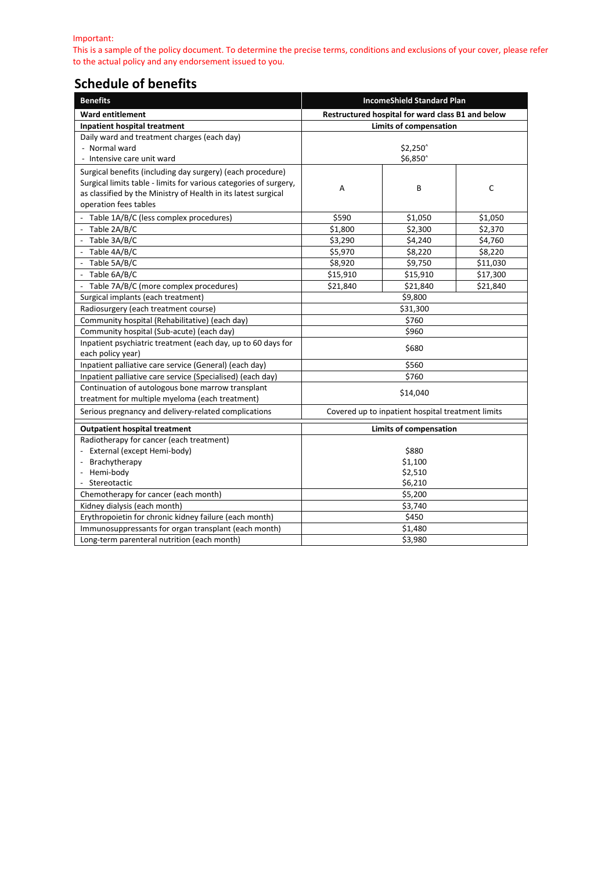Important:

This is a sample of the policy document. To determine the precise terms, conditions and exclusions of your cover, please refer to the actual policy and any endorsement issued to you.

## **Schedule of benefits**

| <b>Benefits</b>                                                   | <b>IncomeShield Standard Plan</b>                 |          |          |
|-------------------------------------------------------------------|---------------------------------------------------|----------|----------|
| <b>Ward entitlement</b>                                           | Restructured hospital for ward class B1 and below |          |          |
| Inpatient hospital treatment                                      | <b>Limits of compensation</b>                     |          |          |
| Daily ward and treatment charges (each day)                       |                                                   |          |          |
| - Normal ward                                                     |                                                   | \$2,250^ |          |
| - Intensive care unit ward                                        |                                                   | \$6,850^ |          |
| Surgical benefits (including day surgery) (each procedure)        |                                                   |          |          |
| Surgical limits table - limits for various categories of surgery, | Α                                                 | В        | C        |
| as classified by the Ministry of Health in its latest surgical    |                                                   |          |          |
| operation fees tables                                             |                                                   |          |          |
| - Table 1A/B/C (less complex procedures)                          | \$590                                             | \$1,050  | \$1,050  |
| - Table 2A/B/C                                                    | \$1,800                                           | \$2,300  | \$2,370  |
| - Table 3A/B/C                                                    | \$3,290                                           | \$4,240  | \$4,760  |
| Table 4A/B/C                                                      | \$5,970                                           | \$8,220  | \$8,220  |
| - Table 5A/B/C                                                    | \$8,920                                           | \$9,750  | \$11,030 |
| - Table 6A/B/C                                                    | \$15,910                                          | \$15,910 | \$17,300 |
| - Table 7A/B/C (more complex procedures)                          | \$21,840                                          | \$21,840 | \$21,840 |
| Surgical implants (each treatment)                                | \$9,800                                           |          |          |
| Radiosurgery (each treatment course)                              | \$31,300                                          |          |          |
| Community hospital (Rehabilitative) (each day)                    | \$760                                             |          |          |
| Community hospital (Sub-acute) (each day)                         | \$960                                             |          |          |
| Inpatient psychiatric treatment (each day, up to 60 days for      |                                                   |          |          |
| each policy year)                                                 | \$680                                             |          |          |
| Inpatient palliative care service (General) (each day)            | \$560                                             |          |          |
| Inpatient palliative care service (Specialised) (each day)        | \$760                                             |          |          |
| Continuation of autologous bone marrow transplant                 |                                                   |          |          |
| treatment for multiple myeloma (each treatment)                   | \$14,040                                          |          |          |
| Serious pregnancy and delivery-related complications              | Covered up to inpatient hospital treatment limits |          |          |
| <b>Outpatient hospital treatment</b>                              | <b>Limits of compensation</b>                     |          |          |
| Radiotherapy for cancer (each treatment)                          |                                                   |          |          |
| - External (except Hemi-body)                                     | \$880                                             |          |          |
| Brachytherapy                                                     | \$1,100                                           |          |          |
| Hemi-body                                                         | \$2,510                                           |          |          |
| - Stereotactic                                                    | \$6,210                                           |          |          |
| Chemotherapy for cancer (each month)                              | \$5,200                                           |          |          |
| Kidney dialysis (each month)                                      | \$3,740                                           |          |          |
| Erythropoietin for chronic kidney failure (each month)            | \$450                                             |          |          |
| Immunosuppressants for organ transplant (each month)              | \$1,480                                           |          |          |
| Long-term parenteral nutrition (each month)                       | \$3,980                                           |          |          |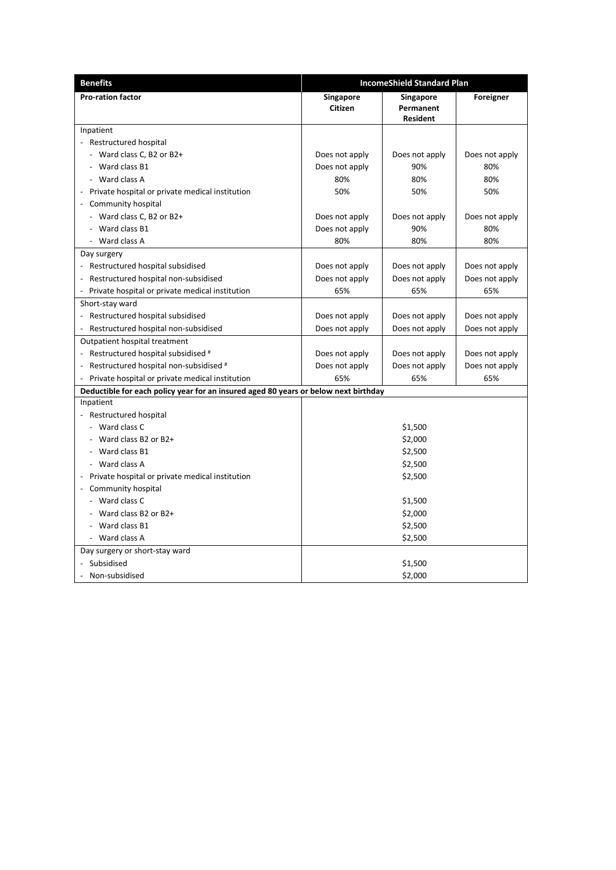| <b>Benefits</b>                                                                     | <b>IncomeShield Standard Plan</b> |                                                  |                |
|-------------------------------------------------------------------------------------|-----------------------------------|--------------------------------------------------|----------------|
| <b>Pro-ration factor</b>                                                            | Singapore<br><b>Citizen</b>       | <b>Singapore</b><br>Permanent<br><b>Resident</b> | Foreigner      |
| Inpatient                                                                           |                                   |                                                  |                |
| - Restructured hospital                                                             |                                   |                                                  |                |
| - Ward class C, B2 or B2+                                                           | Does not apply                    | Does not apply                                   | Does not apply |
| - Ward class B1                                                                     | Does not apply                    | 90%                                              | 80%            |
| - Ward class A                                                                      | 80%                               | 80%                                              | 80%            |
| Private hospital or private medical institution                                     | 50%                               | 50%                                              | 50%            |
| Community hospital                                                                  |                                   |                                                  |                |
| - Ward class C, B2 or B2+                                                           | Does not apply                    | Does not apply                                   | Does not apply |
| - Ward class B1                                                                     | Does not apply                    | 90%                                              | 80%            |
| - Ward class A                                                                      | 80%                               | 80%                                              | 80%            |
| Day surgery                                                                         |                                   |                                                  |                |
| - Restructured hospital subsidised                                                  | Does not apply                    | Does not apply                                   | Does not apply |
| Restructured hospital non-subsidised                                                | Does not apply                    | Does not apply                                   | Does not apply |
| Private hospital or private medical institution                                     | 65%                               | 65%                                              | 65%            |
| Short-stay ward                                                                     |                                   |                                                  |                |
| Restructured hospital subsidised                                                    | Does not apply                    | Does not apply                                   | Does not apply |
| Restructured hospital non-subsidised                                                | Does not apply                    | Does not apply                                   | Does not apply |
| Outpatient hospital treatment                                                       |                                   |                                                  |                |
| - Restructured hospital subsidised #                                                | Does not apply                    | Does not apply                                   | Does not apply |
| Restructured hospital non-subsidised #                                              | Does not apply                    | Does not apply                                   | Does not apply |
| Private hospital or private medical institution                                     | 65%                               | 65%                                              | 65%            |
| Deductible for each policy year for an insured aged 80 years or below next birthday |                                   |                                                  |                |
| Inpatient                                                                           |                                   |                                                  |                |
| Restructured hospital                                                               |                                   |                                                  |                |
| - Ward class C                                                                      | \$1,500                           |                                                  |                |
| - Ward class B2 or B2+                                                              | \$2,000                           |                                                  |                |
| - Ward class B1                                                                     | \$2,500                           |                                                  |                |
| - Ward class A                                                                      | \$2,500                           |                                                  |                |
| Private hospital or private medical institution                                     | \$2,500                           |                                                  |                |
| Community hospital                                                                  |                                   |                                                  |                |
| - Ward class C                                                                      | \$1,500                           |                                                  |                |
| - Ward class B2 or B2+                                                              | \$2,000                           |                                                  |                |
| Ward class B1                                                                       | \$2,500                           |                                                  |                |
| - Ward class A                                                                      | \$2,500                           |                                                  |                |
| Day surgery or short-stay ward                                                      |                                   |                                                  |                |
| Subsidised                                                                          |                                   | \$1,500                                          |                |
| Non-subsidised                                                                      | \$2,000                           |                                                  |                |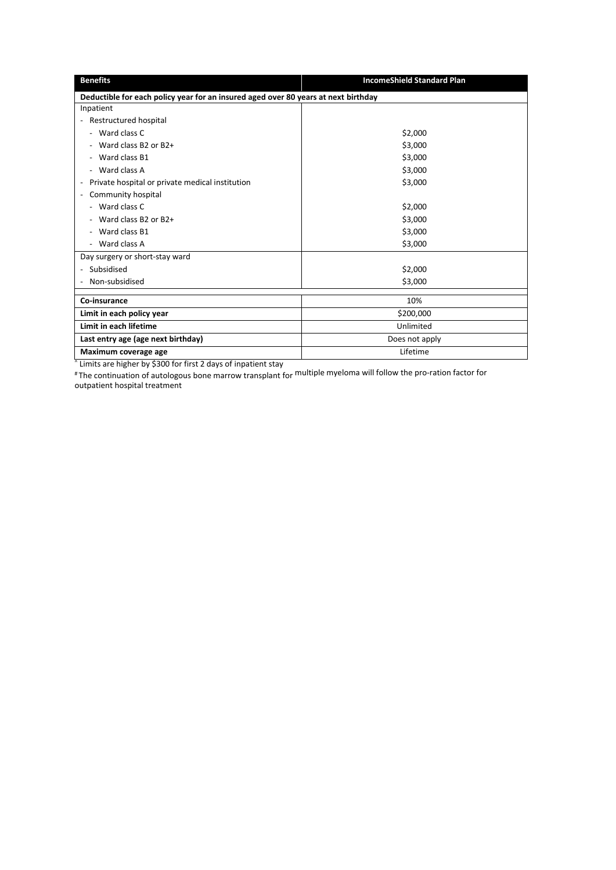| <b>Benefits</b>                                                                    | <b>IncomeShield Standard Plan</b> |  |  |
|------------------------------------------------------------------------------------|-----------------------------------|--|--|
| Deductible for each policy year for an insured aged over 80 years at next birthday |                                   |  |  |
| Inpatient                                                                          |                                   |  |  |
| - Restructured hospital                                                            |                                   |  |  |
| - Ward class C                                                                     | \$2,000                           |  |  |
| Ward class B2 or B2+                                                               | \$3,000                           |  |  |
| Ward class B1                                                                      | \$3,000                           |  |  |
| - Ward class A                                                                     | \$3,000                           |  |  |
| Private hospital or private medical institution<br>$\overline{\phantom{a}}$        | \$3,000                           |  |  |
| Community hospital                                                                 |                                   |  |  |
| - Ward class C                                                                     | \$2,000                           |  |  |
| Ward class B2 or B2+                                                               | \$3,000                           |  |  |
| Ward class B1                                                                      | \$3,000                           |  |  |
| - Ward class A                                                                     | \$3,000                           |  |  |
| Day surgery or short-stay ward                                                     |                                   |  |  |
| Subsidised                                                                         | \$2,000                           |  |  |
| Non-subsidised                                                                     | \$3,000                           |  |  |
| Co-insurance                                                                       | 10%                               |  |  |
|                                                                                    |                                   |  |  |
| Limit in each policy year                                                          | \$200,000                         |  |  |
| Limit in each lifetime                                                             | Unlimited                         |  |  |
| Last entry age (age next birthday)                                                 | Does not apply                    |  |  |
| Maximum coverage age                                                               | Lifetime                          |  |  |

^ Limits are higher by \$300 for first 2 days of inpatient stay

# The continuation of autologous bone marrow transplant for multiple myeloma will follow the pro-ration factor for outpatient hospital treatment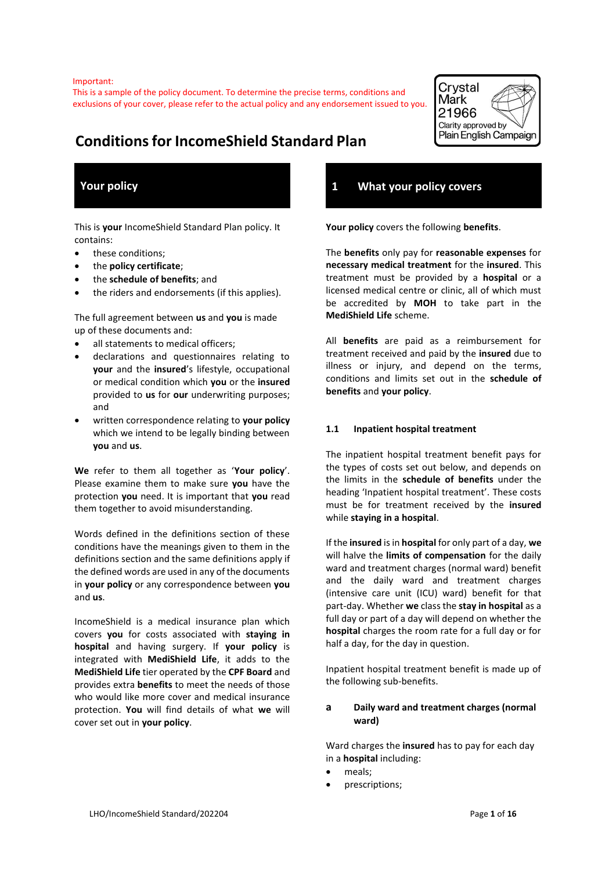Important:

This is a sample of the policy document. To determine the precise terms, conditions and exclusions of your cover, please refer to the actual policy and any endorsement issued to you.



# **Conditions for IncomeShield Standard Plan**

# **Your policy**

This is **your** IncomeShield Standard Plan policy. It contains:

- these conditions;
- the **policy certificate**;
- the **schedule of benefits**; and
- the riders and endorsements (if this applies).

The full agreement between **us** and **you** is made up of these documents and:

- all statements to medical officers;
- declarations and questionnaires relating to **your** and the **insured**'s lifestyle, occupational or medical condition which **you** or the **insured** provided to **us** for **our** underwriting purposes; and
- written correspondence relating to **your policy** which we intend to be legally binding between **you** and **us**.

**We** refer to them all together as '**Your policy**'. Please examine them to make sure **you** have the protection **you** need. It is important that **you** read them together to avoid misunderstanding.

Words defined in the definitions section of these conditions have the meanings given to them in the definitions section and the same definitions apply if the defined words are used in any of the documents in **your policy** or any correspondence between **you** and **us**.

IncomeShield is a medical insurance plan which covers **you** for costs associated with **staying in hospital** and having surgery. If **your policy** is integrated with **MediShield Life**, it adds to the **MediShield Life** tier operated by the **CPF Board** and provides extra **benefits** to meet the needs of those who would like more cover and medical insurance protection. **You** will find details of what **we** will cover set out in **your policy**.

## **1 What your policy covers**

**Your policy** covers the following **benefits**.

The **benefits** only pay for **reasonable expenses** for **necessary medical treatment** for the **insured**. This treatment must be provided by a **hospital** or a licensed medical centre or clinic, all of which must be accredited by **MOH** to take part in the **MediShield Life** scheme.

All **benefits** are paid as a reimbursement for treatment received and paid by the **insured** due to illness or injury, and depend on the terms, conditions and limits set out in the **schedule of benefits** and **your policy**.

#### **1.1 Inpatient hospital treatment**

The inpatient hospital treatment benefit pays for the types of costs set out below, and depends on the limits in the **schedule of benefits** under the heading 'Inpatient hospital treatment'. These costs must be for treatment received by the **insured** while **staying in a hospital**.

If the **insured** is in **hospital** for only part of a day, **we** will halve the **limits of compensation** for the daily ward and treatment charges (normal ward) benefit and the daily ward and treatment charges (intensive care unit (ICU) ward) benefit for that part-day. Whether **we** class the **stay in hospital** as a full day or part of a day will depend on whether the **hospital** charges the room rate for a full day or for half a day, for the day in question.

Inpatient hospital treatment benefit is made up of the following sub-benefits.

#### **a Daily ward and treatment charges (normal ward)**

Ward charges the **insured** has to pay for each day in a **hospital** including:

- meals:
- prescriptions;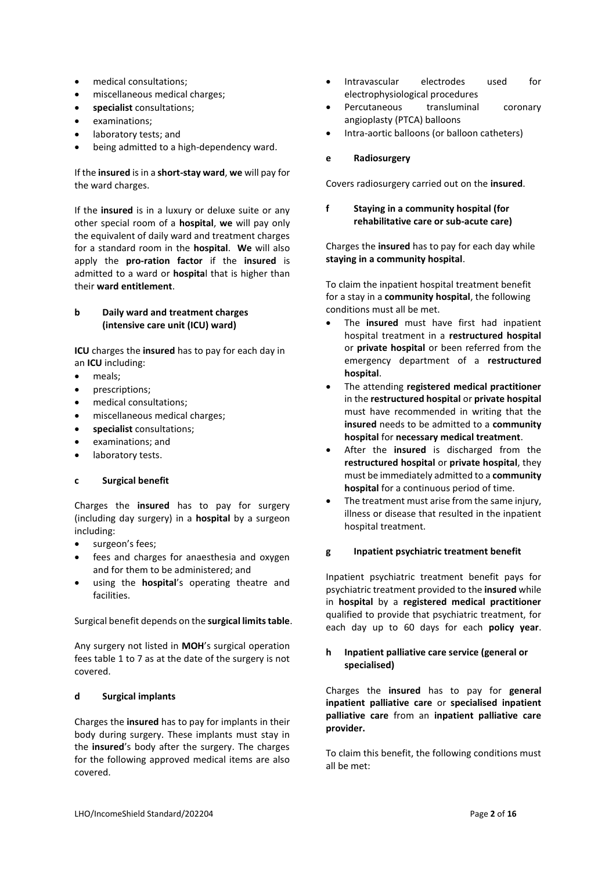- medical consultations;
- miscellaneous medical charges;
- **specialist** consultations;
- examinations;
- laboratory tests; and
- being admitted to a high-dependency ward.

If the **insured** is in a **short-stay ward**, **we** will pay for the ward charges.

If the **insured** is in a luxury or deluxe suite or any other special room of a **hospital**, **we** will pay only the equivalent of daily ward and treatment charges for a standard room in the **hospital**. **We** will also apply the **pro-ration factor** if the **insured** is admitted to a ward or **hospita**l that is higher than their **ward entitlement**.

#### **b Daily ward and treatment charges (intensive care unit (ICU) ward)**

**ICU** charges the **insured** has to pay for each day in an **ICU** including:

- meals;
- prescriptions;
- medical consultations;
- miscellaneous medical charges;
- **specialist** consultations;
- examinations; and
- laboratory tests.

#### **c Surgical benefit**

Charges the **insured** has to pay for surgery (including day surgery) in a **hospital** by a surgeon including:

- surgeon's fees;
- fees and charges for anaesthesia and oxygen and for them to be administered; and
- using the **hospital**'s operating theatre and facilities.

#### Surgical benefit depends on the **surgical limits table**.

Any surgery not listed in **MOH**'s surgical operation fees table 1 to 7 as at the date of the surgery is not covered.

#### **d Surgical implants**

Charges the **insured** has to pay for implants in their body during surgery. These implants must stay in the **insured**'s body after the surgery. The charges for the following approved medical items are also covered.

- Intravascular electrodes used for electrophysiological procedures
- Percutaneous transluminal coronary angioplasty (PTCA) balloons
- Intra-aortic balloons (or balloon catheters)
- **e Radiosurgery**

Covers radiosurgery carried out on the **insured**.

#### **f Staying in a community hospital (for rehabilitative care or sub-acute care)**

Charges the **insured** has to pay for each day while **staying in a community hospital**.

To claim the inpatient hospital treatment benefit for a stay in a **community hospital**, the following conditions must all be met.

- The **insured** must have first had inpatient hospital treatment in a **restructured hospital** or **private hospital** or been referred from the emergency department of a **restructured hospital**.
- The attending **registered medical practitioner** in the **restructured hospital** or **private hospital** must have recommended in writing that the **insured** needs to be admitted to a **community hospital** for **necessary medical treatment**.
- After the **insured** is discharged from the **restructured hospital** or **private hospital**, they must be immediately admitted to a **community hospital** for a continuous period of time.
- The treatment must arise from the same injury, illness or disease that resulted in the inpatient hospital treatment.

#### **g Inpatient psychiatric treatment benefit**

Inpatient psychiatric treatment benefit pays for psychiatric treatment provided to the **insured** while in **hospital** by a **registered medical practitioner** qualified to provide that psychiatric treatment, for each day up to 60 days for each **policy year**.

#### **h Inpatient palliative care service (general or specialised)**

Charges the **insured** has to pay for **general inpatient palliative care** or **specialised inpatient palliative care** from an **inpatient palliative care provider.** 

To claim this benefit, the following conditions must all be met: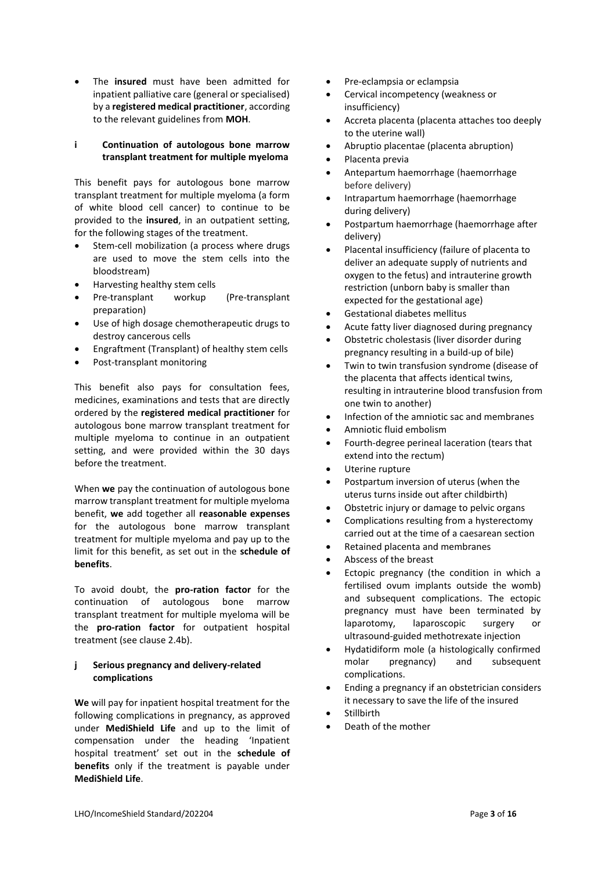• The **insured** must have been admitted for inpatient palliative care (general or specialised) by a **registered medical practitioner**, according to the relevant guidelines from **MOH**.

#### **i Continuation of autologous bone marrow transplant treatment for multiple myeloma**

This benefit pays for autologous bone marrow transplant treatment for multiple myeloma (a form of white blood cell cancer) to continue to be provided to the **insured**, in an outpatient setting, for the following stages of the treatment.

- Stem-cell mobilization (a process where drugs are used to move the stem cells into the bloodstream)
- Harvesting healthy stem cells
- Pre-transplant workup (Pre-transplant preparation)
- Use of high dosage chemotherapeutic drugs to destroy cancerous cells
- Engraftment (Transplant) of healthy stem cells
- Post-transplant monitoring

This benefit also pays for consultation fees, medicines, examinations and tests that are directly ordered by the **registered medical practitioner** for autologous bone marrow transplant treatment for multiple myeloma to continue in an outpatient setting, and were provided within the 30 days before the treatment.

When **we** pay the continuation of autologous bone marrow transplant treatment for multiple myeloma benefit, **we** add together all **reasonable expenses** for the autologous bone marrow transplant treatment for multiple myeloma and pay up to the limit for this benefit, as set out in the **schedule of benefits**.

To avoid doubt, the **pro-ration factor** for the continuation of autologous bone marrow transplant treatment for multiple myeloma will be the **pro-ration factor** for outpatient hospital treatment (see clause 2.4b).

#### **j Serious pregnancy and delivery-related complications**

**We** will pay for inpatient hospital treatment for the following complications in pregnancy, as approved under **MediShield Life** and up to the limit of compensation under the heading 'Inpatient hospital treatment' set out in the **schedule of benefits** only if the treatment is payable under **MediShield Life**.

- Pre-eclampsia or eclampsia
- Cervical incompetency (weakness or insufficiency)
- Accreta placenta (placenta attaches too deeply to the uterine wall)
- Abruptio placentae (placenta abruption)
- Placenta previa
- Antepartum haemorrhage (haemorrhage before delivery)
- Intrapartum haemorrhage (haemorrhage during delivery)
- Postpartum haemorrhage (haemorrhage after delivery)
- Placental insufficiency (failure of placenta to deliver an adequate supply of nutrients and oxygen to the fetus) and intrauterine growth restriction (unborn baby is smaller than expected for the gestational age)
- Gestational diabetes mellitus
- Acute fatty liver diagnosed during pregnancy
- Obstetric cholestasis (liver disorder during pregnancy resulting in a build-up of bile)
- Twin to twin transfusion syndrome (disease of the placenta that affects identical twins, resulting in intrauterine blood transfusion from one twin to another)
- Infection of the amniotic sac and membranes
- Amniotic fluid embolism
- Fourth-degree perineal laceration (tears that extend into the rectum)
- Uterine rupture
- Postpartum inversion of uterus (when the uterus turns inside out after childbirth)
- Obstetric injury or damage to pelvic organs
- Complications resulting from a hysterectomy carried out at the time of a caesarean section
- Retained placenta and membranes
- Abscess of the breast
- Ectopic pregnancy (the condition in which a fertilised ovum implants outside the womb) and subsequent complications. The ectopic pregnancy must have been terminated by laparotomy, laparoscopic surgery or ultrasound-guided methotrexate injection
- Hydatidiform mole (a histologically confirmed molar pregnancy) and subsequent complications.
- Ending a pregnancy if an obstetrician considers it necessary to save the life of the insured
- **Stillbirth**
- Death of the mother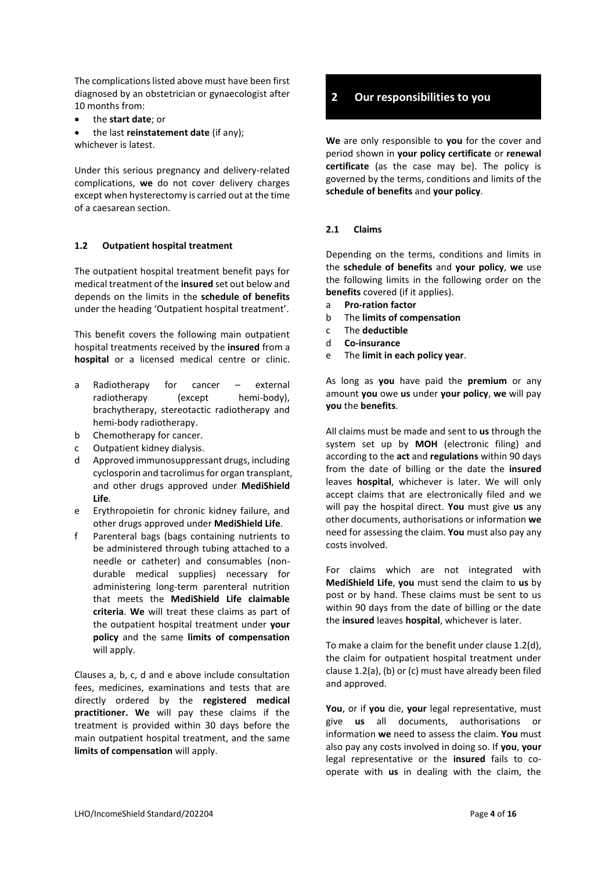The complications listed above must have been first diagnosed by an obstetrician or gynaecologist after 10 months from:

- the **start date**; or
- the last **reinstatement date** (if any); whichever is latest.

Under this serious pregnancy and delivery-related complications, **we** do not cover delivery charges except when hysterectomy is carried out at the time of a caesarean section.

#### **1.2 Outpatient hospital treatment**

The outpatient hospital treatment benefit pays for medical treatment of the **insured** set out below and depends on the limits in the **schedule of benefits** under the heading 'Outpatient hospital treatment'.

This benefit covers the following main outpatient hospital treatments received by the **insured** from a **hospital** or a licensed medical centre or clinic.

- a Radiotherapy for cancer external radiotherapy (except hemi-body), brachytherapy, stereotactic radiotherapy and hemi-body radiotherapy.
- b Chemotherapy for cancer.
- c Outpatient kidney dialysis.
- d Approved immunosuppressant drugs, including cyclosporin and tacrolimus for organ transplant, and other drugs approved under **MediShield Life**.
- e Erythropoietin for chronic kidney failure, and other drugs approved under **MediShield Life**.
- f Parenteral bags (bags containing nutrients to be administered through tubing attached to a needle or catheter) and consumables (nondurable medical supplies) necessary for administering long-term parenteral nutrition that meets the **MediShield Life claimable criteria**. **We** will treat these claims as part of the outpatient hospital treatment under **your policy** and the same **limits of compensation**  will apply.

Clauses a, b, c, d and e above include consultation fees, medicines, examinations and tests that are directly ordered by the **registered medical practitioner. We** will pay these claims if the treatment is provided within 30 days before the main outpatient hospital treatment, and the same **limits of compensation** will apply.

### **2 Our responsibilities to you**

**We** are only responsible to **you** for the cover and period shown in **your policy certificate** or **renewal certificate** (as the case may be). The policy is governed by the terms, conditions and limits of the **schedule of benefits** and **your policy**.

#### **2.1 Claims**

Depending on the terms, conditions and limits in the **schedule of benefits** and **your policy**, **we** use the following limits in the following order on the **benefits** covered (if it applies).

- a **Pro-ration factor**
- b The **limits of compensation**
- c The **deductible**
- d **Co-insurance**
- e The **limit in each policy year**.

As long as **you** have paid the **premium** or any amount **you** owe **us** under **your policy**, **we** will pay **you** the **benefits**.

All claims must be made and sent to **us** through the system set up by **MOH** (electronic filing) and according to the **act** and **regulations** within 90 days from the date of billing or the date the **insured** leaves **hospital**, whichever is later. We will only accept claims that are electronically filed and we will pay the hospital direct. **You** must give **us** any other documents, authorisations or information **we** need for assessing the claim. **You** must also pay any costs involved.

For claims which are not integrated with **MediShield Life**, **you** must send the claim to **us** by post or by hand. These claims must be sent to us within 90 days from the date of billing or the date the **insured** leaves **hospital**, whichever is later.

To make a claim for the benefit under clause 1.2(d), the claim for outpatient hospital treatment under clause 1.2(a), (b) or (c) must have already been filed and approved.

**You**, or if **you** die, **your** legal representative, must give **us** all documents, authorisations or information **we** need to assess the claim. **You** must also pay any costs involved in doing so. If **you**, **your** legal representative or the **insured** fails to cooperate with **us** in dealing with the claim, the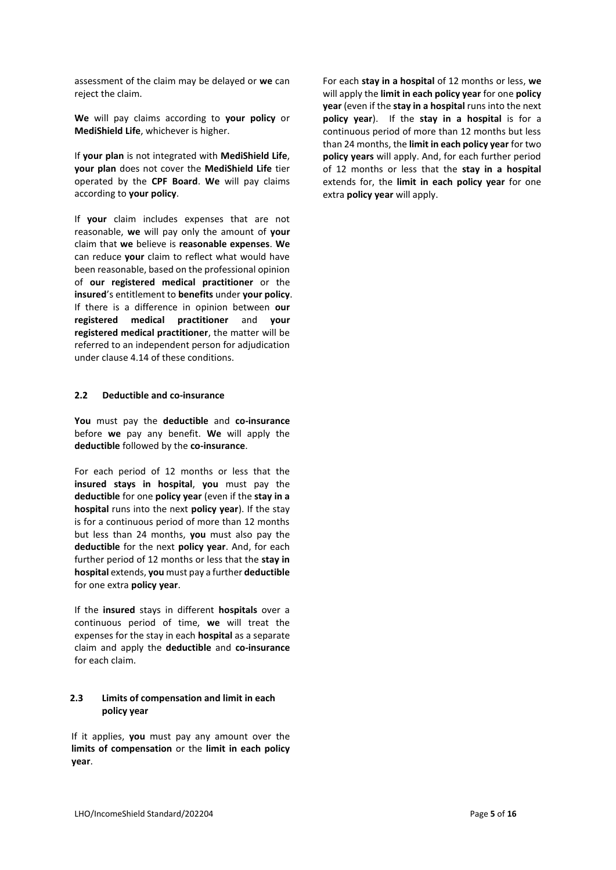assessment of the claim may be delayed or **we** can reject the claim.

**We** will pay claims according to **your policy** or **MediShield Life**, whichever is higher.

If **your plan** is not integrated with **MediShield Life**, **your plan** does not cover the **MediShield Life** tier operated by the **CPF Board**. **We** will pay claims according to **your policy**.

If **your** claim includes expenses that are not reasonable, **we** will pay only the amount of **your** claim that **we** believe is **reasonable expenses**. **We** can reduce **your** claim to reflect what would have been reasonable, based on the professional opinion of **our registered medical practitioner** or the **insured**'s entitlement to **benefits** under **your policy**. If there is a difference in opinion between **our registered medical practitioner** and **your registered medical practitioner**, the matter will be referred to an independent person for adjudication under clause 4.14 of these conditions.

#### **2.2 Deductible and co-insurance**

**You** must pay the **deductible** and **co-insurance** before **we** pay any benefit. **We** will apply the **deductible** followed by the **co-insurance**.

For each period of 12 months or less that the **insured stays in hospital**, **you** must pay the **deductible** for one **policy year** (even if the **stay in a hospital** runs into the next **policy year**). If the stay is for a continuous period of more than 12 months but less than 24 months, **you** must also pay the **deductible** for the next **policy year**. And, for each further period of 12 months or less that the **stay in hospital** extends, **you** must pay a further **deductible** for one extra **policy year**.

If the **insured** stays in different **hospitals** over a continuous period of time, **we** will treat the expenses for the stay in each **hospital** as a separate claim and apply the **deductible** and **co-insurance**  for each claim.

#### **2.3 Limits of compensation and limit in each policy year**

If it applies, **you** must pay any amount over the **limits of compensation** or the **limit in each policy year**.

For each **stay in a hospital** of 12 months or less, **we** will apply the **limit in each policy year** for one **policy year** (even if the **stay in a hospital** runs into the next **policy year**). If the **stay in a hospital** is for a continuous period of more than 12 months but less than 24 months, the **limit in each policy year** for two **policy years** will apply. And, for each further period of 12 months or less that the **stay in a hospital** extends for, the **limit in each policy year** for one extra **policy year** will apply.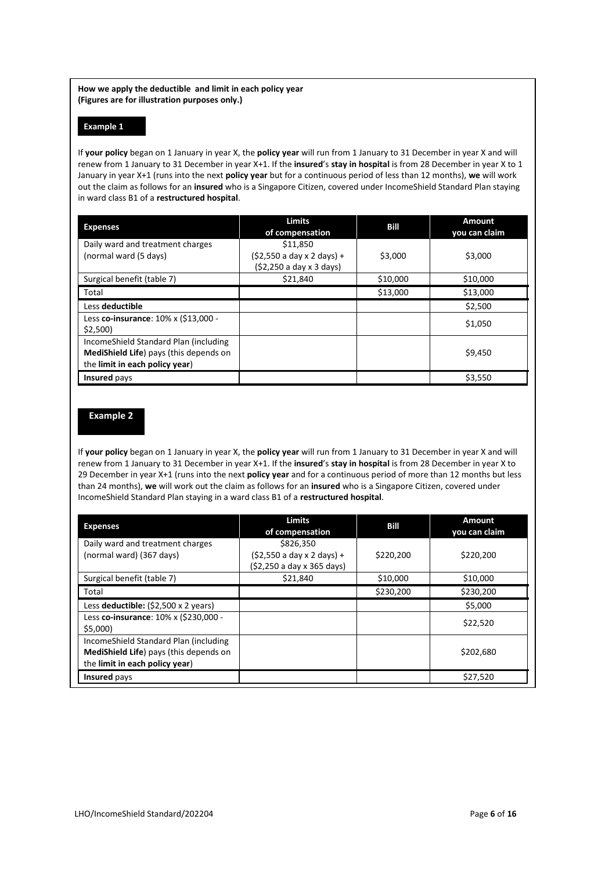**How we apply the deductible and limit in each policy year (Figures are for illustration purposes only.)**

#### **Example 1**

If **your policy** began on 1 January in year X, the **policy year** will run from 1 January to 31 December in year X and will renew from 1 January to 31 December in year X+1. If the **insured**'s **stay in hospital** is from 28 December in year X to 1 January in year X+1 (runs into the next **policy year** but for a continuous period of less than 12 months), **we** will work out the claim as follows for an **insured** who is a Singapore Citizen, covered under IncomeShield Standard Plan staying in ward class B1 of a **restructured hospital**.

| <b>Expenses</b>                                                                                                   | <b>Limits</b><br>of compensation                                   | Bill     | <b>Amount</b><br>you can claim |
|-------------------------------------------------------------------------------------------------------------------|--------------------------------------------------------------------|----------|--------------------------------|
| Daily ward and treatment charges<br>(normal ward (5 days)                                                         | \$11,850<br>(\$2,550 a day x 2 days) +<br>$(52,250a$ day x 3 days) | \$3,000  | \$3,000                        |
| Surgical benefit (table 7)                                                                                        | \$21.840                                                           | \$10,000 | \$10,000                       |
| Total                                                                                                             |                                                                    | \$13,000 | \$13,000                       |
| Less deductible                                                                                                   |                                                                    |          | \$2,500                        |
| Less co-insurance: 10% x (\$13,000 -<br>\$2,500                                                                   |                                                                    |          | \$1,050                        |
| IncomeShield Standard Plan (including<br>MediShield Life) pays (this depends on<br>the limit in each policy year) |                                                                    |          | \$9,450                        |
| <b>Insured</b> pays                                                                                               |                                                                    |          | \$3,550                        |

## **Example 2**

If **your policy** began on 1 January in year X, the **policy year** will run from 1 January to 31 December in year X and will renew from 1 January to 31 December in year X+1. If the **insured**'s **stay in hospital** is from 28 December in year X to 29 December in year X+1 (runs into the next **policy year** and for a continuous period of more than 12 months but less than 24 months), **we** will work out the claim as follows for an **insured** who is a Singapore Citizen, covered under IncomeShield Standard Plan staying in a ward class B1 of a **restructured hospital**.

| <b>Expenses</b>                                                                                                   | <b>Limits</b><br>of compensation                                       | Bill      | Amount<br>you can claim |
|-------------------------------------------------------------------------------------------------------------------|------------------------------------------------------------------------|-----------|-------------------------|
| Daily ward and treatment charges<br>(normal ward) (367 days)                                                      | \$826,350<br>$(52,550 a day x 2 days) +$<br>(\$2,250 a day x 365 days) | \$220,200 | \$220,200               |
| Surgical benefit (table 7)                                                                                        | \$21,840                                                               | \$10,000  | \$10,000                |
| Total                                                                                                             |                                                                        | \$230,200 | \$230,200               |
| Less deductible: $(52,500 \times 2 \text{ years})$                                                                |                                                                        |           | \$5,000                 |
| Less co-insurance: 10% x (\$230,000 -<br>\$5.000                                                                  |                                                                        |           | \$22,520                |
| IncomeShield Standard Plan (including<br>MediShield Life) pays (this depends on<br>the limit in each policy year) |                                                                        |           | \$202,680               |
| Insured pays                                                                                                      |                                                                        |           | \$27,520                |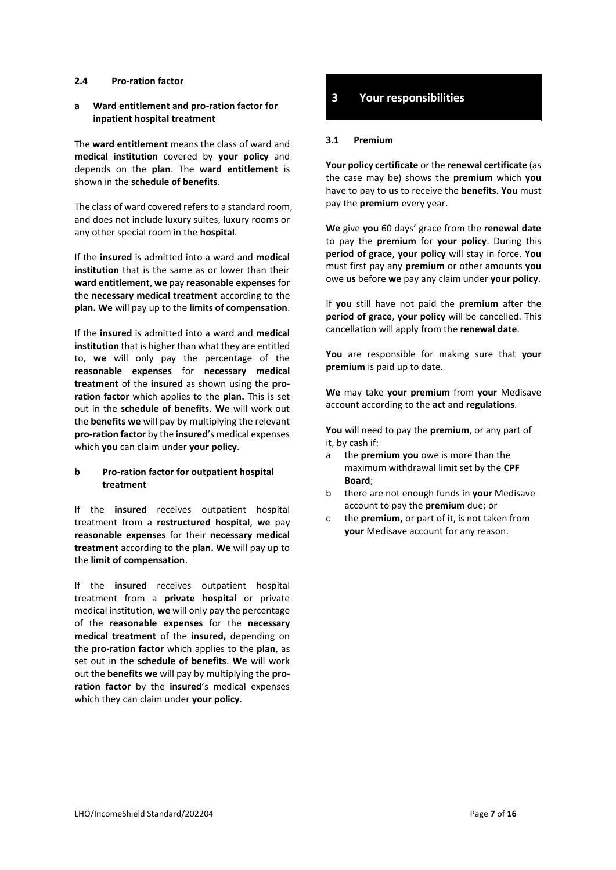#### **2.4 Pro-ration factor**

#### **a Ward entitlement and pro-ration factor for inpatient hospital treatment**

The **ward entitlement** means the class of ward and **medical institution** covered by **your policy** and depends on the **plan**. The **ward entitlement** is shown in the **schedule of benefits**.

The class of ward covered refers to a standard room, and does not include luxury suites, luxury rooms or any other special room in the **hospital**.

If the **insured** is admitted into a ward and **medical institution** that is the same as or lower than their **ward entitlement**, **we** pay **reasonable expenses** for the **necessary medical treatment** according to the **plan. We** will pay up to the **limits of compensation**.

If the **insured** is admitted into a ward and **medical institution** that is higher than what they are entitled to, **we** will only pay the percentage of the **reasonable expenses** for **necessary medical treatment** of the **insured** as shown using the **proration factor** which applies to the **plan.** This is set out in the **schedule of benefits**. **We** will work out the **benefits we** will pay by multiplying the relevant **pro-ration factor** by the **insured**'s medical expenses which **you** can claim under **your policy**.

#### **b Pro-ration factor for outpatient hospital treatment**

If the **insured** receives outpatient hospital treatment from a **restructured hospital**, **we** pay **reasonable expenses** for their **necessary medical treatment** according to the **plan. We** will pay up to the **limit of compensation**.

If the **insured** receives outpatient hospital treatment from a **private hospital** or private medical institution, **we** will only pay the percentage of the **reasonable expenses** for the **necessary medical treatment** of the **insured,** depending on the **pro-ration factor** which applies to the **plan**, as set out in the **schedule of benefits**. **We** will work out the **benefits we** will pay by multiplying the **proration factor** by the **insured**'s medical expenses which they can claim under **your policy**.

## **3 Your responsibilities**

#### **3.1 Premium**

**Your policy certificate** or the **renewal certificate** (as the case may be) shows the **premium** which **you** have to pay to **us** to receive the **benefits**. **You** must pay the **premium** every year.

**We** give **you** 60 days' grace from the **renewal date** to pay the **premium** for **your policy**. During this **period of grace**, **your policy** will stay in force. **You** must first pay any **premium** or other amounts **you** owe **us** before **we** pay any claim under **your policy**.

If **you** still have not paid the **premium** after the **period of grace**, **your policy** will be cancelled. This cancellation will apply from the **renewal date**.

**You** are responsible for making sure that **your premium** is paid up to date.

**We** may take **your premium** from **your** Medisave account according to the **act** and **regulations**.

**You** will need to pay the **premium**, or any part of it, by cash if:

- a the **premium you** owe is more than the maximum withdrawal limit set by the **CPF Board**;
- b there are not enough funds in **your** Medisave account to pay the **premium** due; or
- c the **premium,** or part of it, is not taken from **your** Medisave account for any reason.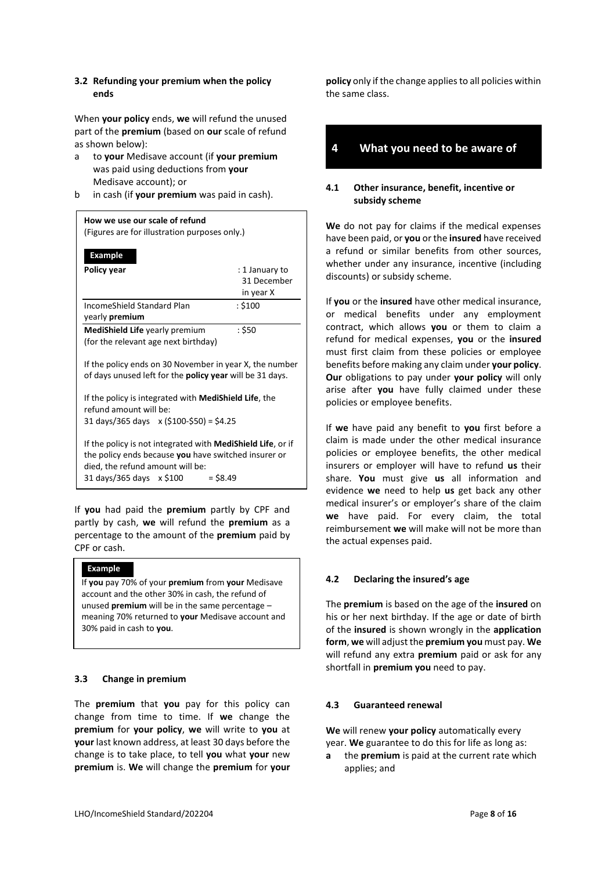#### **3.2 Refunding your premium when the policy ends**

When **your policy** ends, **we** will refund the unused part of the **premium** (based on **our** scale of refund as shown below):

- a to **your** Medisave account (if **your premium** was paid using deductions from **your** Medisave account); or
- b in cash (if **your premium** was paid in cash).

| How we use our scale of refund<br>(Figures are for illustration purposes only.)                                                                                                                   |                               |
|---------------------------------------------------------------------------------------------------------------------------------------------------------------------------------------------------|-------------------------------|
| <b>Example</b>                                                                                                                                                                                    |                               |
| Policy year                                                                                                                                                                                       | : 1 January to<br>31 December |
|                                                                                                                                                                                                   | in year X                     |
| IncomeShield Standard Plan<br>yearly <b>premium</b>                                                                                                                                               | : \$100                       |
| <b>MediShield Life</b> yearly premium<br>(for the relevant age next birthday)                                                                                                                     | : \$50                        |
| If the policy ends on 30 November in year X, the number<br>of days unused left for the <b>policy year</b> will be 31 days.                                                                        |                               |
| If the policy is integrated with <b>MediShield Life</b> , the<br>refund amount will be:<br>31 days/365 days x (\$100-\$50) = \$4.25                                                               |                               |
| If the policy is not integrated with MediShield Life, or if<br>the policy ends because you have switched insurer or<br>died, the refund amount will be:<br>31 days/365 days x \$100<br>$=$ \$8.49 |                               |

If **you** had paid the **premium** partly by CPF and partly by cash, **we** will refund the **premium** as a percentage to the amount of the **premium** paid by CPF or cash.

#### **Example**

If **you** pay 70% of your **premium** from **your** Medisave account and the other 30% in cash, the refund of unused **premium** will be in the same percentage – meaning 70% returned to **your** Medisave account and 30% paid in cash to **you**.

#### **3.3 Change in premium**

The **premium** that **you** pay for this policy can change from time to time. If **we** change the **premium** for **your policy**, **we** will write to **you** at **your** last known address, at least 30 days before the change is to take place, to tell **you** what **your** new **premium** is. **We** will change the **premium** for **your**  **policy** only if the change applies to all policies within the same class.

### **4 What you need to be aware of**

#### **4.1 Other insurance, benefit, incentive or subsidy scheme**

**We** do not pay for claims if the medical expenses have been paid, or **you** or the **insured** have received a refund or similar benefits from other sources, whether under any insurance, incentive (including discounts) or subsidy scheme.

If **you** or the **insured** have other medical insurance, or medical benefits under any employment contract, which allows **you** or them to claim a refund for medical expenses, **you** or the **insured** must first claim from these policies or employee benefits before making any claim under **your policy**. **Our** obligations to pay under **your policy** will only arise after **you** have fully claimed under these policies or employee benefits.

If **we** have paid any benefit to **you** first before a claim is made under the other medical insurance policies or employee benefits, the other medical insurers or employer will have to refund **us** their share. **You** must give **us** all information and evidence **we** need to help **us** get back any other medical insurer's or employer's share of the claim **we** have paid. For every claim, the total reimbursement **we** will make will not be more than the actual expenses paid.

#### **4.2 Declaring the insured's age**

The **premium** is based on the age of the **insured** on his or her next birthday. If the age or date of birth of the **insured** is shown wrongly in the **application form**, **we** will adjust the **premium you** must pay. **We** will refund any extra **premium** paid or ask for any shortfall in **premium you** need to pay.

#### **4.3 Guaranteed renewal**

**We** will renew **your policy** automatically every year. **We** guarantee to do this for life as long as:

**a** the **premium** is paid at the current rate which applies; and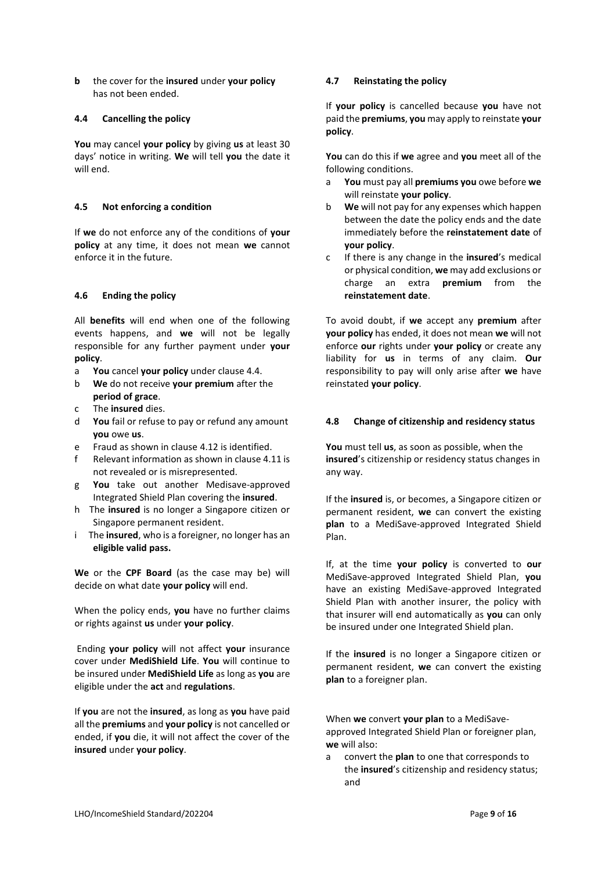**b** the cover for the **insured** under **your policy** has not been ended.

#### **4.4 Cancelling the policy**

**You** may cancel **your policy** by giving **us** at least 30 days' notice in writing. **We** will tell **you** the date it will end.

#### **4.5 Not enforcing a condition**

If **we** do not enforce any of the conditions of **your policy** at any time, it does not mean **we** cannot enforce it in the future.

#### **4.6 Ending the policy**

All **benefits** will end when one of the following events happens, and **we** will not be legally responsible for any further payment under **your policy**.

- a **You** cancel **your policy** under clause 4.4.
- b **We** do not receive **your premium** after the **period of grace**.
- c The **insured** dies.
- d **You** fail or refuse to pay or refund any amount **you** owe **us**.
- e Fraud as shown in clause 4.12 is identified.
- f Relevant information as shown in clause 4.11 is not revealed or is misrepresented.
- g **You** take out another Medisave-approved Integrated Shield Plan covering the **insured**.
- h The **insured** is no longer a Singapore citizen or Singapore permanent resident.
- i The **insured**, who is a foreigner, no longer has an **eligible valid pass.**

**We** or the **CPF Board** (as the case may be) will decide on what date **your policy** will end.

When the policy ends, **you** have no further claims or rights against **us** under **your policy**.

Ending **your policy** will not affect **your** insurance cover under **MediShield Life**. **You** will continue to be insured under **MediShield Life** as long as **you** are eligible under the **act** and **regulations**.

If **you** are not the **insured**, as long as **you** have paid all the **premiums** and **your policy** is not cancelled or ended, if **you** die, it will not affect the cover of the **insured** under **your policy**.

#### **4.7 Reinstating the policy**

If **your policy** is cancelled because **you** have not paid the **premiums**, **you** may apply to reinstate **your policy**.

**You** can do this if **we** agree and **you** meet all of the following conditions.

- a **You** must pay all **premiums you** owe before **we** will reinstate **your policy**.
- b **We** will not pay for any expenses which happen between the date the policy ends and the date immediately before the **reinstatement date** of **your policy**.
- c If there is any change in the **insured**'s medical or physical condition, **we** may add exclusions or charge an extra **premium** from the **reinstatement date**.

To avoid doubt, if **we** accept any **premium** after **your policy** has ended, it does not mean **we** will not enforce **our** rights under **your policy** or create any liability for **us** in terms of any claim. **Our** responsibility to pay will only arise after **we** have reinstated **your policy**.

#### **4.8 Change of citizenship and residency status**

**You** must tell **us**, as soon as possible, when the **insured**'s citizenship or residency status changes in any way.

If the **insured** is, or becomes, a Singapore citizen or permanent resident, **we** can convert the existing **plan** to a MediSave-approved Integrated Shield Plan.

If, at the time **your policy** is converted to **our** MediSave-approved Integrated Shield Plan, **you** have an existing MediSave-approved Integrated Shield Plan with another insurer, the policy with that insurer will end automatically as **you** can only be insured under one Integrated Shield plan.

If the **insured** is no longer a Singapore citizen or permanent resident, **we** can convert the existing **plan** to a foreigner plan.

When **we** convert **your plan** to a MediSaveapproved Integrated Shield Plan or foreigner plan, **we** will also:

a convert the **plan** to one that corresponds to the **insured**'s citizenship and residency status; and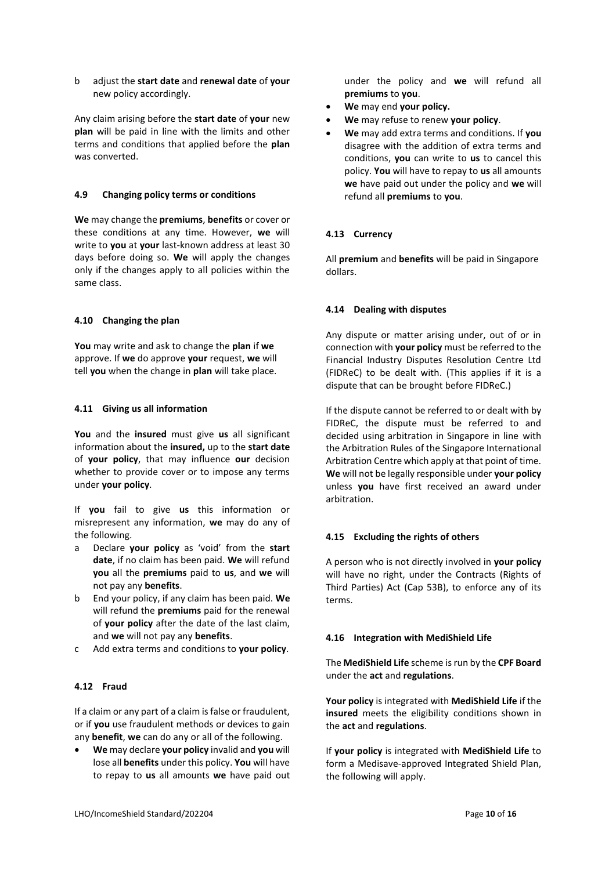b adjust the **start date** and **renewal date** of **your**  new policy accordingly.

Any claim arising before the **start date** of **your** new **plan** will be paid in line with the limits and other terms and conditions that applied before the **plan** was converted.

#### **4.9 Changing policy terms or conditions**

**We** may change the **premiums**, **benefits** or cover or these conditions at any time. However, **we** will write to **you** at **your** last-known address at least 30 days before doing so. **We** will apply the changes only if the changes apply to all policies within the same class.

#### **4.10 Changing the plan**

**You** may write and ask to change the **plan** if **we** approve. If **we** do approve **your** request, **we** will tell **you** when the change in **plan** will take place.

#### **4.11 Giving us all information**

**You** and the **insured** must give **us** all significant information about the **insured,** up to the **start date** of **your policy**, that may influence **our** decision whether to provide cover or to impose any terms under **your policy**.

If **you** fail to give **us** this information or misrepresent any information, **we** may do any of the following.

- a Declare **your policy** as 'void' from the **start date**, if no claim has been paid. **We** will refund **you** all the **premiums** paid to **us**, and **we** will not pay any **benefits**.
- b End your policy, if any claim has been paid. **We** will refund the **premiums** paid for the renewal of **your policy** after the date of the last claim, and **we** will not pay any **benefits**.
- c Add extra terms and conditions to **your policy**.

#### **4.12 Fraud**

If a claim or any part of a claim is false or fraudulent, or if **you** use fraudulent methods or devices to gain any **benefit**, **we** can do any or all of the following.

• **We** may declare **your policy** invalid and **you** will lose all **benefits** under this policy. **You** will have to repay to **us** all amounts **we** have paid out under the policy and **we** will refund all **premiums** to **you**.

- **We** may end **your policy.**
- **We** may refuse to renew **your policy**.
- **We** may add extra terms and conditions. If **you** disagree with the addition of extra terms and conditions, **you** can write to **us** to cancel this policy. **You** will have to repay to **us** all amounts **we** have paid out under the policy and **we** will refund all **premiums** to **you**.

#### **4.13 Currency**

All **premium** and **benefits** will be paid in Singapore dollars.

#### **4.14 Dealing with disputes**

Any dispute or matter arising under, out of or in connection with **your policy** must be referred to the Financial Industry Disputes Resolution Centre Ltd (FIDReC) to be dealt with. (This applies if it is a dispute that can be brought before FIDReC.)

If the dispute cannot be referred to or dealt with by FIDReC, the dispute must be referred to and decided using arbitration in Singapore in line with the Arbitration Rules of the Singapore International Arbitration Centre which apply at that point of time. **We** will not be legally responsible under **your policy** unless **you** have first received an award under arbitration.

#### **4.15 Excluding the rights of others**

A person who is not directly involved in **your policy** will have no right, under the Contracts (Rights of Third Parties) Act (Cap 53B), to enforce any of its terms.

#### **4.16 Integration with MediShield Life**

The **MediShield Life** scheme is run by the **CPF Board** under the **act** and **regulations**.

**Your policy** is integrated with **MediShield Life** if the **insured** meets the eligibility conditions shown in the **act** and **regulations**.

If **your policy** is integrated with **MediShield Life** to form a Medisave-approved Integrated Shield Plan, the following will apply.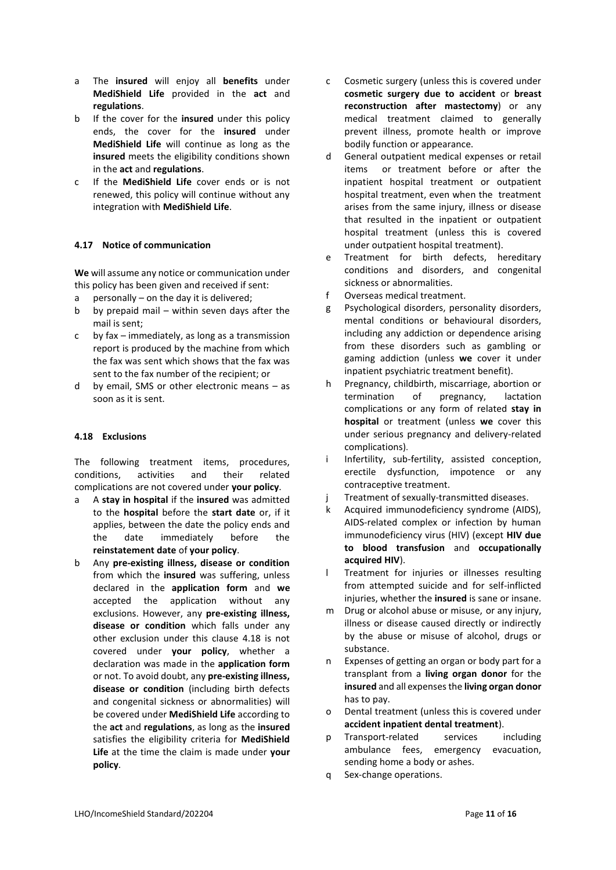- a The **insured** will enjoy all **benefits** under **MediShield Life** provided in the **act** and **regulations**.
- b If the cover for the **insured** under this policy ends, the cover for the **insured** under **MediShield Life** will continue as long as the **insured** meets the eligibility conditions shown in the **act** and **regulations**.
- c If the **MediShield Life** cover ends or is not renewed, this policy will continue without any integration with **MediShield Life**.

#### **4.17 Notice of communication**

**We** will assume any notice or communication under this policy has been given and received if sent:

- a personally on the day it is delivered;
- b by prepaid mail within seven days after the mail is sent;
- c by fax immediately, as long as a transmission report is produced by the machine from which the fax was sent which shows that the fax was sent to the fax number of the recipient; or
- d by email, SMS or other electronic means as soon as it is sent.

#### **4.18 Exclusions**

The following treatment items, procedures, conditions, activities and their related complications are not covered under **your policy**.

- a A **stay in hospital** if the **insured** was admitted to the **hospital** before the **start date** or, if it applies, between the date the policy ends and the date immediately before the **reinstatement date** of **your policy**.
- b Any **pre-existing illness, disease or condition** from which the **insured** was suffering, unless declared in the **application form** and **we** accepted the application without any exclusions. However, any **pre-existing illness, disease or condition** which falls under any other exclusion under this clause 4.18 is not covered under **your policy**, whether a declaration was made in the **application form** or not. To avoid doubt, any **pre-existing illness, disease or condition** (including birth defects and congenital sickness or abnormalities) will be covered under **MediShield Life** according to the **act** and **regulations**, as long as the **insured** satisfies the eligibility criteria for **MediShield Life** at the time the claim is made under **your policy**.
- c Cosmetic surgery (unless this is covered under **cosmetic surgery due to accident** or **breast reconstruction after mastectomy**) or any medical treatment claimed to generally prevent illness, promote health or improve bodily function or appearance.
- d General outpatient medical expenses or retail items or treatment before or after the inpatient hospital treatment or outpatient hospital treatment, even when the treatment arises from the same injury, illness or disease that resulted in the inpatient or outpatient hospital treatment (unless this is covered under outpatient hospital treatment).
- e Treatment for birth defects, hereditary conditions and disorders, and congenital sickness or abnormalities.
- f Overseas medical treatment.
- g Psychological disorders, personality disorders, mental conditions or behavioural disorders, including any addiction or dependence arising from these disorders such as gambling or gaming addiction (unless **we** cover it under inpatient psychiatric treatment benefit).
- h Pregnancy, childbirth, miscarriage, abortion or termination of pregnancy, lactation complications or any form of related **stay in hospital** or treatment (unless **we** cover this under serious pregnancy and delivery-related complications).
- i Infertility, sub-fertility, assisted conception, erectile dysfunction, impotence or any contraceptive treatment.
- j Treatment of sexually-transmitted diseases.
- k Acquired immunodeficiency syndrome (AIDS), AIDS-related complex or infection by human immunodeficiency virus (HIV) (except **HIV due to blood transfusion** and **occupationally acquired HIV**).
- l Treatment for injuries or illnesses resulting from attempted suicide and for self-inflicted injuries, whether the **insured** is sane or insane.
- m Drug or alcohol abuse or misuse, or any injury, illness or disease caused directly or indirectly by the abuse or misuse of alcohol, drugs or substance.
- n Expenses of getting an organ or body part for a transplant from a **living organ donor** for the **insured** and all expenses the **living organ donor** has to pay.
- o Dental treatment (unless this is covered under **accident inpatient dental treatment**).
- p Transport-related services including ambulance fees, emergency evacuation, sending home a body or ashes.
- q Sex-change operations.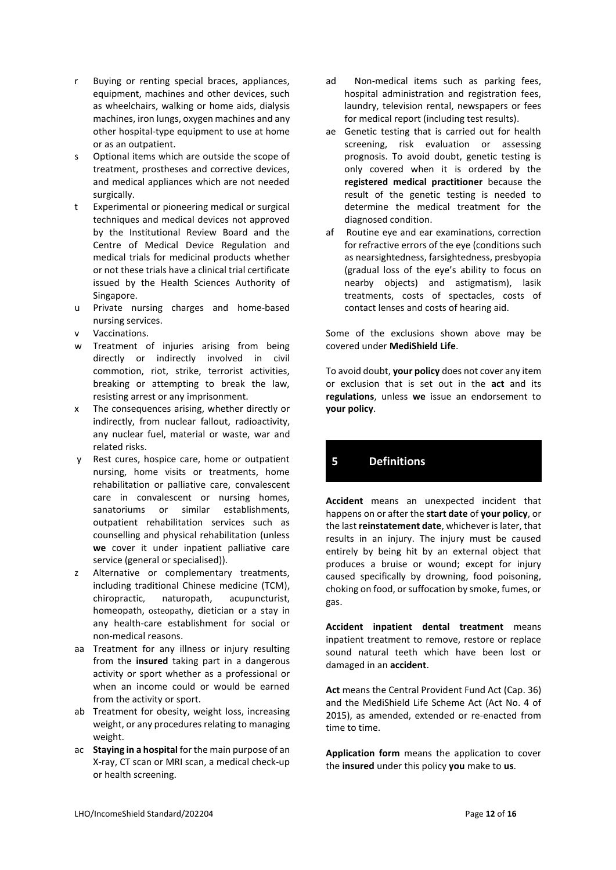- r Buying or renting special braces, appliances, equipment, machines and other devices, such as wheelchairs, walking or home aids, dialysis machines, iron lungs, oxygen machines and any other hospital-type equipment to use at home or as an outpatient.
- s Optional items which are outside the scope of treatment, prostheses and corrective devices, and medical appliances which are not needed surgically.
- t Experimental or pioneering medical or surgical techniques and medical devices not approved by the Institutional Review Board and the Centre of Medical Device Regulation and medical trials for medicinal products whether or not these trials have a clinical trial certificate issued by the Health Sciences Authority of Singapore.
- u Private nursing charges and home-based nursing services.
- v Vaccinations.
- w Treatment of injuries arising from being directly or indirectly involved in civil commotion, riot, strike, terrorist activities, breaking or attempting to break the law, resisting arrest or any imprisonment.
- x The consequences arising, whether directly or indirectly, from nuclear fallout, radioactivity, any nuclear fuel, material or waste, war and related risks.
- y Rest cures, hospice care, home or outpatient nursing, home visits or treatments, home rehabilitation or palliative care, convalescent care in convalescent or nursing homes, sanatoriums or similar establishments, outpatient rehabilitation services such as counselling and physical rehabilitation (unless **we** cover it under inpatient palliative care service (general or specialised)).
- z Alternative or complementary treatments, including traditional Chinese medicine (TCM), chiropractic, naturopath, acupuncturist, homeopath, osteopathy, dietician or a stay in any health-care establishment for social or non-medical reasons.
- aa Treatment for any illness or injury resulting from the **insured** taking part in a dangerous activity or sport whether as a professional or when an income could or would be earned from the activity or sport.
- ab Treatment for obesity, weight loss, increasing weight, or any procedures relating to managing weight.
- ac **Staying in a hospital** for the main purpose of an X-ray, CT scan or MRI scan, a medical check-up or health screening.
- ad Non-medical items such as parking fees, hospital administration and registration fees, laundry, television rental, newspapers or fees for medical report (including test results).
- ae Genetic testing that is carried out for health screening, risk evaluation or assessing prognosis. To avoid doubt, genetic testing is only covered when it is ordered by the **registered medical practitioner** because the result of the genetic testing is needed to determine the medical treatment for the diagnosed condition.
- af Routine eye and ear examinations, correction for refractive errors of the eye (conditions such as nearsightedness, farsightedness, presbyopia (gradual loss of the eye's ability to focus on nearby objects) and astigmatism), lasik treatments, costs of spectacles, costs of contact lenses and costs of hearing aid.

Some of the exclusions shown above may be covered under **MediShield Life**.

To avoid doubt, **your policy** does not cover any item or exclusion that is set out in the **act** and its **regulations**, unless **we** issue an endorsement to **your policy**.

## **5 Definitions**

**Accident** means an unexpected incident that happens on or after the **start date** of **your policy**, or the last **reinstatement date**, whichever is later, that results in an injury. The injury must be caused entirely by being hit by an external object that produces a bruise or wound; except for injury caused specifically by drowning, food poisoning, choking on food, or suffocation by smoke, fumes, or gas.

**Accident inpatient dental treatment** means inpatient treatment to remove, restore or replace sound natural teeth which have been lost or damaged in an **accident**.

**Act** means the Central Provident Fund Act (Cap. 36) and the MediShield Life Scheme Act (Act No. 4 of 2015), as amended, extended or re-enacted from time to time.

**Application form** means the application to cover the **insured** under this policy **you** make to **us**.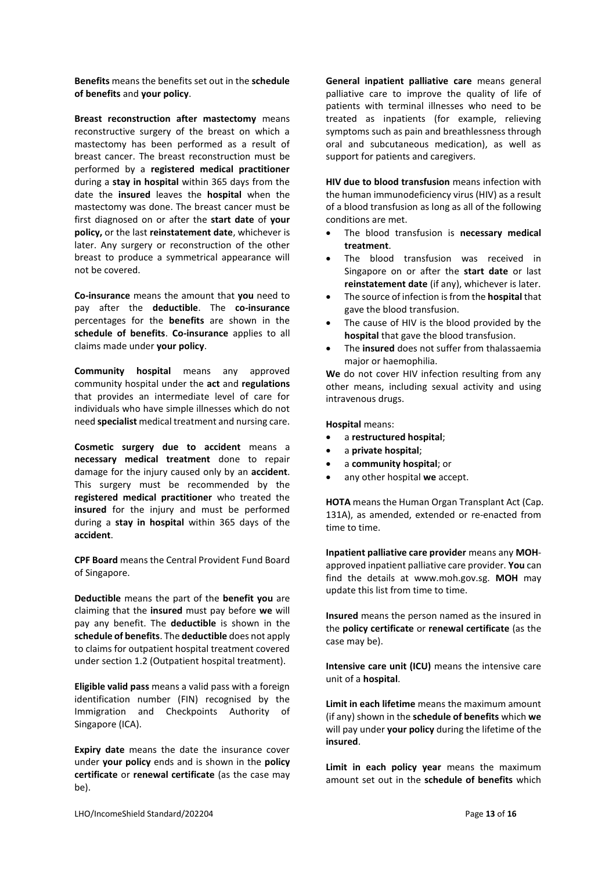**Benefits** means the benefits set out in the **schedule of benefits** and **your policy**.

**Breast reconstruction after mastectomy** means reconstructive surgery of the breast on which a mastectomy has been performed as a result of breast cancer. The breast reconstruction must be performed by a **registered medical practitioner** during a **stay in hospital** within 365 days from the date the **insured** leaves the **hospital** when the mastectomy was done. The breast cancer must be first diagnosed on or after the **start date** of **your policy,** or the last **reinstatement date**, whichever is later. Any surgery or reconstruction of the other breast to produce a symmetrical appearance will not be covered.

**Co-insurance** means the amount that **you** need to pay after the **deductible**. The **co-insurance** percentages for the **benefits** are shown in the **schedule of benefits**. **Co-insurance** applies to all claims made under **your policy**.

**Community hospital** means any approved community hospital under the **act** and **regulations** that provides an intermediate level of care for individuals who have simple illnesses which do not need **specialist** medical treatment and nursing care.

**Cosmetic surgery due to accident** means a **necessary medical treatment** done to repair damage for the injury caused only by an **accident**. This surgery must be recommended by the **registered medical practitioner** who treated the **insured** for the injury and must be performed during a **stay in hospital** within 365 days of the **accident**.

**CPF Board** means the Central Provident Fund Board of Singapore.

**Deductible** means the part of the **benefit you** are claiming that the **insured** must pay before **we** will pay any benefit. The **deductible** is shown in the **schedule of benefits**. The **deductible** does not apply to claims for outpatient hospital treatment covered under section 1.2 (Outpatient hospital treatment).

**Eligible valid pass** means a valid pass with a foreign identification number (FIN) recognised by the Immigration and Checkpoints Authority of Singapore (ICA).

**Expiry date** means the date the insurance cover under **your policy** ends and is shown in the **policy certificate** or **renewal certificate** (as the case may be).

**General inpatient palliative care** means general palliative care to improve the quality of life of patients with terminal illnesses who need to be treated as inpatients (for example, relieving symptoms such as pain and breathlessness through oral and subcutaneous medication), as well as support for patients and caregivers.

**HIV due to blood transfusion** means infection with the human immunodeficiency virus (HIV) as a result of a blood transfusion as long as all of the following conditions are met.

- The blood transfusion is **necessary medical treatment**.
- The blood transfusion was received in Singapore on or after the **start date** or last **reinstatement date** (if any), whichever is later.
- The source of infection is from the **hospital** that gave the blood transfusion.
- The cause of HIV is the blood provided by the **hospital** that gave the blood transfusion.
- The **insured** does not suffer from thalassaemia major or haemophilia.

**We** do not cover HIV infection resulting from any other means, including sexual activity and using intravenous drugs.

**Hospital** means:

- a **restructured hospital**;
- a **private hospital**;
- a **community hospital**; or
- any other hospital **we** accept.

**HOTA** means the Human Organ Transplant Act (Cap. 131A), as amended, extended or re-enacted from time to time.

**Inpatient palliative care provider** means any **MOH**approved inpatient palliative care provider. **You** can find the details at www.moh.gov.sg. **MOH** may update this list from time to time.

**Insured** means the person named as the insured in the **policy certificate** or **renewal certificate** (as the case may be).

**Intensive care unit (ICU)** means the intensive care unit of a **hospital**.

**Limit in each lifetime** means the maximum amount (if any) shown in the **schedule of benefits** which **we** will pay under **your policy** during the lifetime of the **insured**.

**Limit in each policy year** means the maximum amount set out in the **schedule of benefits** which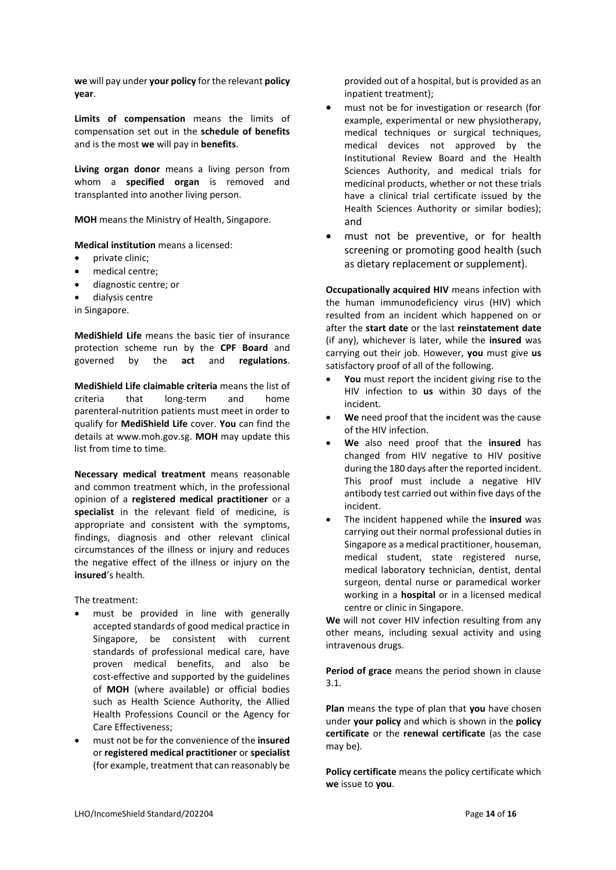**we** will pay under **your policy** for the relevant **policy year**.

**Limits of compensation** means the limits of compensation set out in the **schedule of benefits** and is the most **we** will pay in **benefits**.

**Living organ donor** means a living person from whom a **specified organ** is removed and transplanted into another living person.

**MOH** means the Ministry of Health, Singapore.

**Medical institution** means a licensed:

- private clinic;
- medical centre:
- diagnostic centre; or
- dialysis centre

in Singapore.

**MediShield Life** means the basic tier of insurance protection scheme run by the **CPF Board** and governed by the **act** and **regulations**.

**MediShield Life claimable criteria** means the list of criteria that long-term and home parenteral-nutrition patients must meet in order to qualify for **MediShield Life** cover. **You** can find the details at www.moh.gov.sg. **MOH** may update this list from time to time.

**Necessary medical treatment** means reasonable and common treatment which, in the professional opinion of a **registered medical practitioner** or a **specialist** in the relevant field of medicine, is appropriate and consistent with the symptoms, findings, diagnosis and other relevant clinical circumstances of the illness or injury and reduces the negative effect of the illness or injury on the **insured**'s health.

The treatment:

- must be provided in line with generally accepted standards of good medical practice in Singapore, be consistent with current standards of professional medical care, have proven medical benefits, and also be cost-effective and supported by the guidelines of **MOH** (where available) or official bodies such as Health Science Authority, the Allied Health Professions Council or the Agency for Care Effectiveness;
- must not be for the convenience of the **insured** or **registered medical practitioner** or **specialist**  (for example, treatment that can reasonably be

provided out of a hospital, but is provided as an inpatient treatment);

- must not be for investigation or research (for example, experimental or new physiotherapy, medical techniques or surgical techniques, medical devices not approved by the Institutional Review Board and the Health Sciences Authority, and medical trials for medicinal products, whether or not these trials have a clinical trial certificate issued by the Health Sciences Authority or similar bodies); and
- must not be preventive, or for health screening or promoting good health (such as dietary replacement or supplement).

**Occupationally acquired HIV** means infection with the human immunodeficiency virus (HIV) which resulted from an incident which happened on or after the **start date** or the last **reinstatement date** (if any), whichever is later, while the **insured** was carrying out their job. However, **you** must give **us** satisfactory proof of all of the following.

- You must report the incident giving rise to the HIV infection to **us** within 30 days of the incident.
- We need proof that the incident was the cause of the HIV infection.
- **We** also need proof that the **insured** has changed from HIV negative to HIV positive during the 180 days after the reported incident. This proof must include a negative HIV antibody test carried out within five days of the incident.
- The incident happened while the **insured** was carrying out their normal professional duties in Singapore as a medical practitioner, houseman, medical student, state registered nurse, medical laboratory technician, dentist, dental surgeon, dental nurse or paramedical worker working in a **hospital** or in a licensed medical centre or clinic in Singapore.

**We** will not cover HIV infection resulting from any other means, including sexual activity and using intravenous drugs.

**Period of grace** means the period shown in clause 3.1.

**Plan** means the type of plan that **you** have chosen under **your policy** and which is shown in the **policy certificate** or the **renewal certificate** (as the case may be).

**Policy certificate** means the policy certificate which **we** issue to **you**.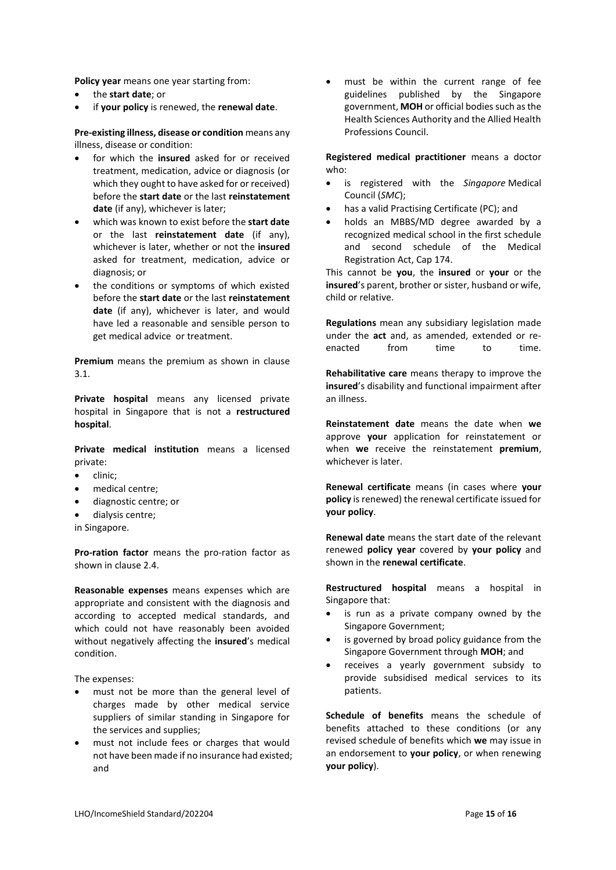**Policy year** means one year starting from:

- the **start date**; or
- if **your policy** is renewed, the **renewal date**.

**Pre-existing illness, disease or condition** means any illness, disease or condition:

- for which the insured asked for or received treatment, medication, advice or diagnosis (or which they ought to have asked for or received) before the **start date** or the last **reinstatement date** (if any), whichever is later;
- which was known to exist before the **start date** or the last **reinstatement date** (if any), whichever is later, whether or not the **insured** asked for treatment, medication, advice or diagnosis; or
- the conditions or symptoms of which existed before the **start date** or the last **reinstatement date** (if any), whichever is later, and would have led a reasonable and sensible person to get medical advice or treatment.

**Premium** means the premium as shown in clause 3.1.

**Private hospital** means any licensed private hospital in Singapore that is not a **restructured hospital**.

**Private medical institution** means a licensed private:

- clinic;
- medical centre;
- diagnostic centre; or
- dialysis centre;

in Singapore.

**Pro-ration factor** means the pro-ration factor as shown in clause 2.4.

**Reasonable expenses** means expenses which are appropriate and consistent with the diagnosis and according to accepted medical standards, and which could not have reasonably been avoided without negatively affecting the **insured**'s medical condition.

The expenses:

- must not be more than the general level of charges made by other medical service suppliers of similar standing in Singapore for the services and supplies;
- must not include fees or charges that would not have been made if no insurance had existed; and

must be within the current range of fee guidelines published by the Singapore government, **MOH** or official bodies such as the Health Sciences Authority and the Allied Health Professions Council.

**Registered medical practitioner** means a doctor who:

- is registered with the *Singapore* Medical Council (*SMC*);
- has a valid Practising Certificate (PC); and
- holds an MBBS/MD degree awarded by a recognized medical school in the first schedule and second schedule of the Medical Registration Act, Cap 174.

This cannot be **you**, the **insured** or **your** or the **insured**'s parent, brother or sister, husband or wife, child or relative.

**Regulations** mean any subsidiary legislation made under the **act** and, as amended, extended or reenacted from time to time.

**Rehabilitative care** means therapy to improve the **insured**'s disability and functional impairment after an illness.

**Reinstatement date** means the date when **we** approve **your** application for reinstatement or when **we** receive the reinstatement **premium**, whichever is later.

**Renewal certificate** means (in cases where **your policy** is renewed) the renewal certificate issued for **your policy**.

**Renewal date** means the start date of the relevant renewed **policy year** covered by **your policy** and shown in the **renewal certificate**.

**Restructured hospital** means a hospital in Singapore that:

- is run as a private company owned by the Singapore Government;
- is governed by broad policy guidance from the Singapore Government through **MOH**; and
- receives a yearly government subsidy to provide subsidised medical services to its patients.

**Schedule of benefits** means the schedule of benefits attached to these conditions (or any revised schedule of benefits which **we** may issue in an endorsement to **your policy**, or when renewing **your policy**).